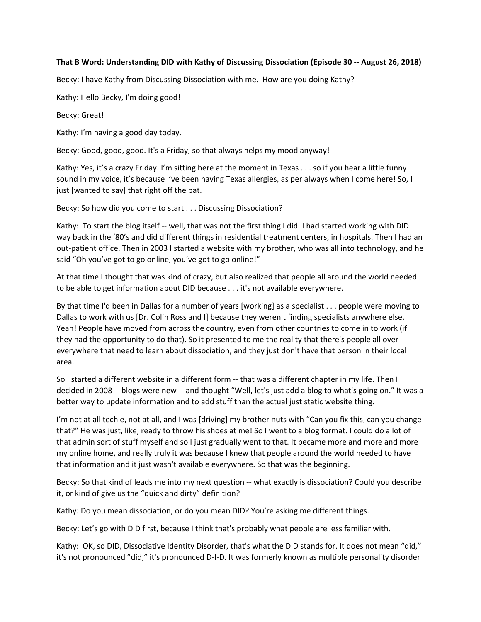## **That B Word: Understanding DID with Kathy of Discussing Dissociation (Episode 30 -- August 26, 2018)**

Becky: I have Kathy from Discussing Dissociation with me. How are you doing Kathy?

Kathy: Hello Becky, I'm doing good!

Becky: Great!

Kathy: I'm having a good day today.

Becky: Good, good, good. It's a Friday, so that always helps my mood anyway!

Kathy: Yes, it's a crazy Friday. I'm sitting here at the moment in Texas . . . so if you hear a little funny sound in my voice, it's because I've been having Texas allergies, as per always when I come here! So, I just [wanted to say] that right off the bat.

Becky: So how did you come to start . . . Discussing Dissociation?

Kathy: To start the blog itself -- well, that was not the first thing I did. I had started working with DID way back in the '80's and did different things in residential treatment centers, in hospitals. Then I had an out-patient office. Then in 2003 I started a website with my brother, who was all into technology, and he said "Oh you've got to go online, you've got to go online!"

At that time I thought that was kind of crazy, but also realized that people all around the world needed to be able to get information about DID because . . . it's not available everywhere.

By that time I'd been in Dallas for a number of years [working] as a specialist . . . people were moving to Dallas to work with us [Dr. Colin Ross and I] because they weren't finding specialists anywhere else. Yeah! People have moved from across the country, even from other countries to come in to work (if they had the opportunity to do that). So it presented to me the reality that there's people all over everywhere that need to learn about dissociation, and they just don't have that person in their local area.

So I started a different website in a different form -- that was a different chapter in my life. Then I decided in 2008 -- blogs were new -- and thought "Well, let's just add a blog to what's going on." It was a better way to update information and to add stuff than the actual just static website thing.

I'm not at all techie, not at all, and I was [driving] my brother nuts with "Can you fix this, can you change that?" He was just, like, ready to throw his shoes at me! So I went to a blog format. I could do a lot of that admin sort of stuff myself and so I just gradually went to that. It became more and more and more my online home, and really truly it was because I knew that people around the world needed to have that information and it just wasn't available everywhere. So that was the beginning.

Becky: So that kind of leads me into my next question -- what exactly is dissociation? Could you describe it, or kind of give us the "quick and dirty" definition?

Kathy: Do you mean dissociation, or do you mean DID? You're asking me different things.

Becky: Let's go with DID first, because I think that's probably what people are less familiar with.

Kathy: OK, so DID, Dissociative Identity Disorder, that's what the DID stands for. It does not mean "did," it's not pronounced "did," it's pronounced D-I-D. It was formerly known as multiple personality disorder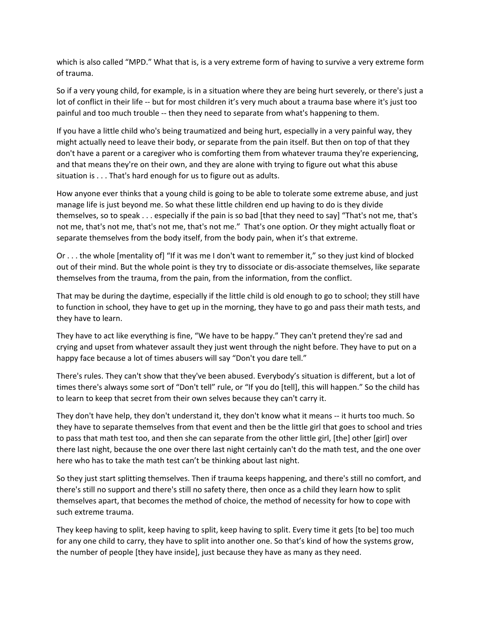which is also called "MPD." What that is, is a very extreme form of having to survive a very extreme form of trauma.

So if a very young child, for example, is in a situation where they are being hurt severely, or there's just a lot of conflict in their life -- but for most children it's very much about a trauma base where it's just too painful and too much trouble -- then they need to separate from what's happening to them.

If you have a little child who's being traumatized and being hurt, especially in a very painful way, they might actually need to leave their body, or separate from the pain itself. But then on top of that they don't have a parent or a caregiver who is comforting them from whatever trauma they're experiencing, and that means they're on their own, and they are alone with trying to figure out what this abuse situation is . . . That's hard enough for us to figure out as adults.

How anyone ever thinks that a young child is going to be able to tolerate some extreme abuse, and just manage life is just beyond me. So what these little children end up having to do is they divide themselves, so to speak . . . especially if the pain is so bad [that they need to say] "That's not me, that's not me, that's not me, that's not me, that's not me." That's one option. Or they might actually float or separate themselves from the body itself, from the body pain, when it's that extreme.

Or . . . the whole [mentality of] "If it was me I don't want to remember it," so they just kind of blocked out of their mind. But the whole point is they try to dissociate or dis-associate themselves, like separate themselves from the trauma, from the pain, from the information, from the conflict.

That may be during the daytime, especially if the little child is old enough to go to school; they still have to function in school, they have to get up in the morning, they have to go and pass their math tests, and they have to learn.

They have to act like everything is fine, "We have to be happy." They can't pretend they're sad and crying and upset from whatever assault they just went through the night before. They have to put on a happy face because a lot of times abusers will say "Don't you dare tell."

There's rules. They can't show that they've been abused. Everybody's situation is different, but a lot of times there's always some sort of "Don't tell" rule, or "If you do [tell], this will happen." So the child has to learn to keep that secret from their own selves because they can't carry it.

They don't have help, they don't understand it, they don't know what it means -- it hurts too much. So they have to separate themselves from that event and then be the little girl that goes to school and tries to pass that math test too, and then she can separate from the other little girl, [the] other [girl] over there last night, because the one over there last night certainly can't do the math test, and the one over here who has to take the math test can't be thinking about last night.

So they just start splitting themselves. Then if trauma keeps happening, and there's still no comfort, and there's still no support and there's still no safety there, then once as a child they learn how to split themselves apart, that becomes the method of choice, the method of necessity for how to cope with such extreme trauma.

They keep having to split, keep having to split, keep having to split. Every time it gets [to be] too much for any one child to carry, they have to split into another one. So that's kind of how the systems grow, the number of people [they have inside], just because they have as many as they need.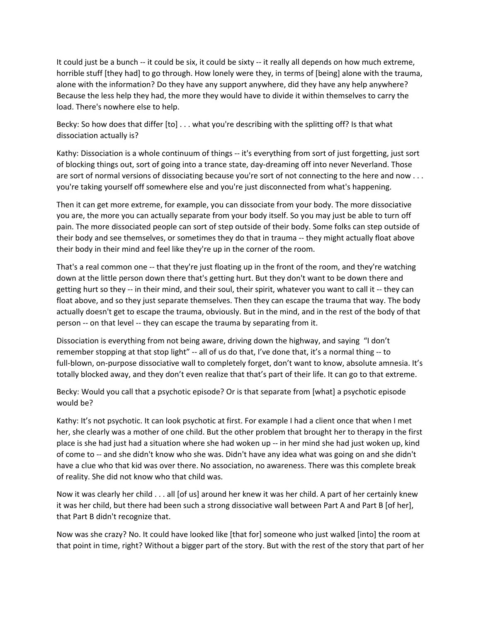It could just be a bunch -- it could be six, it could be sixty -- it really all depends on how much extreme, horrible stuff [they had] to go through. How lonely were they, in terms of [being] alone with the trauma, alone with the information? Do they have any support anywhere, did they have any help anywhere? Because the less help they had, the more they would have to divide it within themselves to carry the load. There's nowhere else to help.

Becky: So how does that differ [to] . . . what you're describing with the splitting off? Is that what dissociation actually is?

Kathy: Dissociation is a whole continuum of things -- it's everything from sort of just forgetting, just sort of blocking things out, sort of going into a trance state, day-dreaming off into never Neverland. Those are sort of normal versions of dissociating because you're sort of not connecting to the here and now . . . you're taking yourself off somewhere else and you're just disconnected from what's happening.

Then it can get more extreme, for example, you can dissociate from your body. The more dissociative you are, the more you can actually separate from your body itself. So you may just be able to turn off pain. The more dissociated people can sort of step outside of their body. Some folks can step outside of their body and see themselves, or sometimes they do that in trauma -- they might actually float above their body in their mind and feel like they're up in the corner of the room.

That's a real common one -- that they're just floating up in the front of the room, and they're watching down at the little person down there that's getting hurt. But they don't want to be down there and getting hurt so they -- in their mind, and their soul, their spirit, whatever you want to call it -- they can float above, and so they just separate themselves. Then they can escape the trauma that way. The body actually doesn't get to escape the trauma, obviously. But in the mind, and in the rest of the body of that person -- on that level -- they can escape the trauma by separating from it.

Dissociation is everything from not being aware, driving down the highway, and saying "I don't remember stopping at that stop light" -- all of us do that, I've done that, it's a normal thing -- to full-blown, on-purpose dissociative wall to completely forget, don't want to know, absolute amnesia. It's totally blocked away, and they don't even realize that that's part of their life. It can go to that extreme.

Becky: Would you call that a psychotic episode? Or is that separate from [what] a psychotic episode would be?

Kathy: It's not psychotic. It can look psychotic at first. For example I had a client once that when I met her, she clearly was a mother of one child. But the other problem that brought her to therapy in the first place is she had just had a situation where she had woken up -- in her mind she had just woken up, kind of come to -- and she didn't know who she was. Didn't have any idea what was going on and she didn't have a clue who that kid was over there. No association, no awareness. There was this complete break of reality. She did not know who that child was.

Now it was clearly her child . . . all [of us] around her knew it was her child. A part of her certainly knew it was her child, but there had been such a strong dissociative wall between Part A and Part B [of her], that Part B didn't recognize that.

Now was she crazy? No. It could have looked like [that for] someone who just walked [into] the room at that point in time, right? Without a bigger part of the story. But with the rest of the story that part of her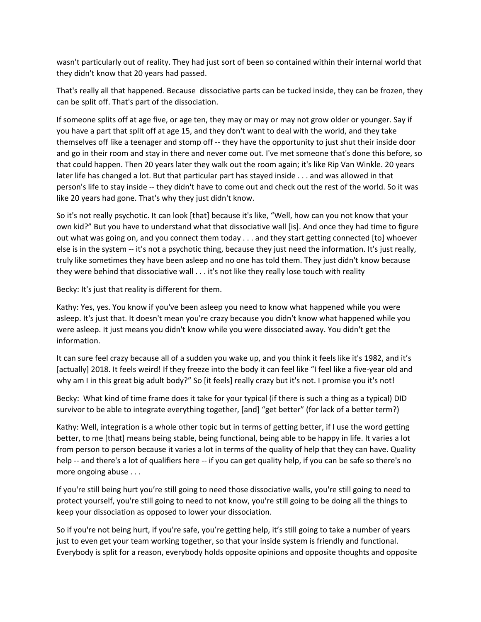wasn't particularly out of reality. They had just sort of been so contained within their internal world that they didn't know that 20 years had passed.

That's really all that happened. Because dissociative parts can be tucked inside, they can be frozen, they can be split off. That's part of the dissociation.

If someone splits off at age five, or age ten, they may or may or may not grow older or younger. Say if you have a part that split off at age 15, and they don't want to deal with the world, and they take themselves off like a teenager and stomp off -- they have the opportunity to just shut their inside door and go in their room and stay in there and never come out. I've met someone that's done this before, so that could happen. Then 20 years later they walk out the room again; it's like Rip Van Winkle. 20 years later life has changed a lot. But that particular part has stayed inside . . . and was allowed in that person's life to stay inside -- they didn't have to come out and check out the rest of the world. So it was like 20 years had gone. That's why they just didn't know.

So it's not really psychotic. It can look [that] because it's like, "Well, how can you not know that your own kid?" But you have to understand what that dissociative wall [is]. And once they had time to figure out what was going on, and you connect them today . . . and they start getting connected [to] whoever else is in the system -- it's not a psychotic thing, because they just need the information. It's just really, truly like sometimes they have been asleep and no one has told them. They just didn't know because they were behind that dissociative wall . . . it's not like they really lose touch with reality

Becky: It's just that reality is different for them.

Kathy: Yes, yes. You know if you've been asleep you need to know what happened while you were asleep. It's just that. It doesn't mean you're crazy because you didn't know what happened while you were asleep. It just means you didn't know while you were dissociated away. You didn't get the information.

It can sure feel crazy because all of a sudden you wake up, and you think it feels like it's 1982, and it's [actually] 2018. It feels weird! If they freeze into the body it can feel like "I feel like a five-year old and why am I in this great big adult body?" So [it feels] really crazy but it's not. I promise you it's not!

Becky: What kind of time frame does it take for your typical (if there is such a thing as a typical) DID survivor to be able to integrate everything together, [and] "get better" (for lack of a better term?)

Kathy: Well, integration is a whole other topic but in terms of getting better, if I use the word getting better, to me [that] means being stable, being functional, being able to be happy in life. It varies a lot from person to person because it varies a lot in terms of the quality of help that they can have. Quality help -- and there's a lot of qualifiers here -- if you can get quality help, if you can be safe so there's no more ongoing abuse . . .

If you're still being hurt you're still going to need those dissociative walls, you're still going to need to protect yourself, you're still going to need to not know, you're still going to be doing all the things to keep your dissociation as opposed to lower your dissociation.

So if you're not being hurt, if you're safe, you're getting help, it's still going to take a number of years just to even get your team working together, so that your inside system is friendly and functional. Everybody is split for a reason, everybody holds opposite opinions and opposite thoughts and opposite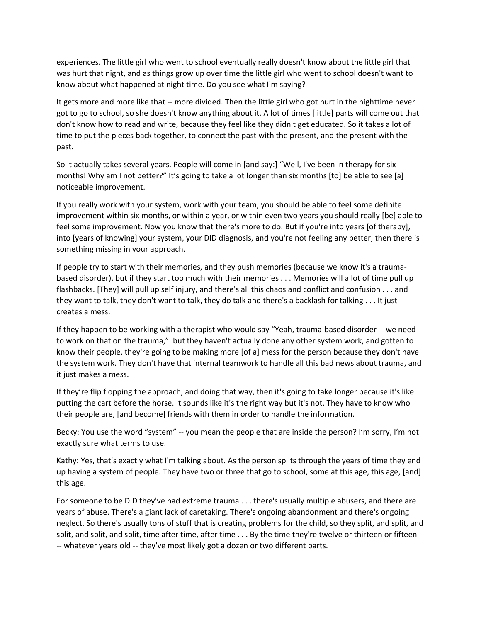experiences. The little girl who went to school eventually really doesn't know about the little girl that was hurt that night, and as things grow up over time the little girl who went to school doesn't want to know about what happened at night time. Do you see what I'm saying?

It gets more and more like that -- more divided. Then the little girl who got hurt in the nighttime never got to go to school, so she doesn't know anything about it. A lot of times [little] parts will come out that don't know how to read and write, because they feel like they didn't get educated. So it takes a lot of time to put the pieces back together, to connect the past with the present, and the present with the past.

So it actually takes several years. People will come in [and say:] "Well, I've been in therapy for six months! Why am I not better?" It's going to take a lot longer than six months [to] be able to see [a] noticeable improvement.

If you really work with your system, work with your team, you should be able to feel some definite improvement within six months, or within a year, or within even two years you should really [be] able to feel some improvement. Now you know that there's more to do. But if you're into years [of therapy], into [years of knowing] your system, your DID diagnosis, and you're not feeling any better, then there is something missing in your approach.

If people try to start with their memories, and they push memories (because we know it's a traumabased disorder), but if they start too much with their memories . . . Memories will a lot of time pull up flashbacks. [They] will pull up self injury, and there's all this chaos and conflict and confusion . . . and they want to talk, they don't want to talk, they do talk and there's a backlash for talking . . . It just creates a mess.

If they happen to be working with a therapist who would say "Yeah, trauma-based disorder -- we need to work on that on the trauma," but they haven't actually done any other system work, and gotten to know their people, they're going to be making more [of a] mess for the person because they don't have the system work. They don't have that internal teamwork to handle all this bad news about trauma, and it just makes a mess.

If they're flip flopping the approach, and doing that way, then it's going to take longer because it's like putting the cart before the horse. It sounds like it's the right way but it's not. They have to know who their people are, [and become] friends with them in order to handle the information.

Becky: You use the word "system" -- you mean the people that are inside the person? I'm sorry, I'm not exactly sure what terms to use.

Kathy: Yes, that's exactly what I'm talking about. As the person splits through the years of time they end up having a system of people. They have two or three that go to school, some at this age, this age, [and] this age.

For someone to be DID they've had extreme trauma . . . there's usually multiple abusers, and there are years of abuse. There's a giant lack of caretaking. There's ongoing abandonment and there's ongoing neglect. So there's usually tons of stuff that is creating problems for the child, so they split, and split, and split, and split, and split, time after time, after time . . . By the time they're twelve or thirteen or fifteen -- whatever years old -- they've most likely got a dozen or two different parts.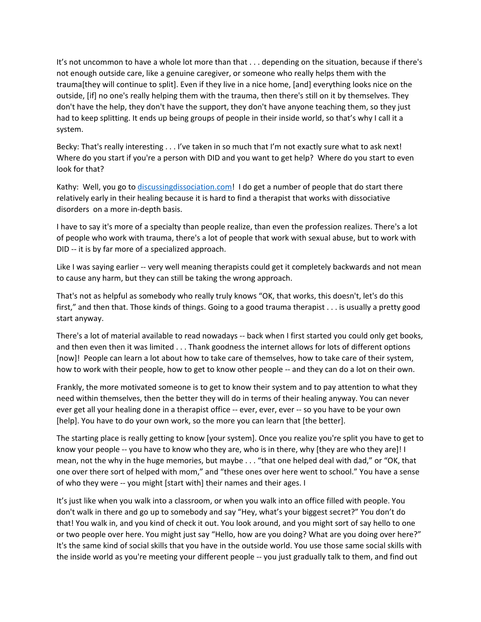It's not uncommon to have a whole lot more than that . . . depending on the situation, because if there's not enough outside care, like a genuine caregiver, or someone who really helps them with the trauma[they will continue to split]. Even if they live in a nice home, [and] everything looks nice on the outside, [if] no one's really helping them with the trauma, then there's still on it by themselves. They don't have the help, they don't have the support, they don't have anyone teaching them, so they just had to keep splitting. It ends up being groups of people in their inside world, so that's why I call it a system.

Becky: That's really interesting . . . I've taken in so much that I'm not exactly sure what to ask next! Where do you start if you're a person with DID and you want to get help? Where do you start to even look for that?

Kathy: Well, you go to discussing dissociation.com! I do get a number of people that do start there relatively early in their healing because it is hard to find a therapist that works with dissociative disorders on a more in-depth basis.

I have to say it's more of a specialty than people realize, than even the profession realizes. There's a lot of people who work with trauma, there's a lot of people that work with sexual abuse, but to work with DID -- it is by far more of a specialized approach.

Like I was saying earlier -- very well meaning therapists could get it completely backwards and not mean to cause any harm, but they can still be taking the wrong approach.

That's not as helpful as somebody who really truly knows "OK, that works, this doesn't, let's do this first," and then that. Those kinds of things. Going to a good trauma therapist . . . is usually a pretty good start anyway.

There's a lot of material available to read nowadays -- back when I first started you could only get books, and then even then it was limited . . . Thank goodness the internet allows for lots of different options [now]! People can learn a lot about how to take care of themselves, how to take care of their system, how to work with their people, how to get to know other people -- and they can do a lot on their own.

Frankly, the more motivated someone is to get to know their system and to pay attention to what they need within themselves, then the better they will do in terms of their healing anyway. You can never ever get all your healing done in a therapist office -- ever, ever, ever -- so you have to be your own [help]. You have to do your own work, so the more you can learn that [the better].

The starting place is really getting to know [your system]. Once you realize you're split you have to get to know your people -- you have to know who they are, who is in there, why [they are who they are]! I mean, not the why in the huge memories, but maybe . . . "that one helped deal with dad," or "OK, that one over there sort of helped with mom," and "these ones over here went to school." You have a sense of who they were -- you might [start with] their names and their ages. I

It's just like when you walk into a classroom, or when you walk into an office filled with people. You don't walk in there and go up to somebody and say "Hey, what's your biggest secret?" You don't do that! You walk in, and you kind of check it out. You look around, and you might sort of say hello to one or two people over here. You might just say "Hello, how are you doing? What are you doing over here?" It's the same kind of social skills that you have in the outside world. You use those same social skills with the inside world as you're meeting your different people -- you just gradually talk to them, and find out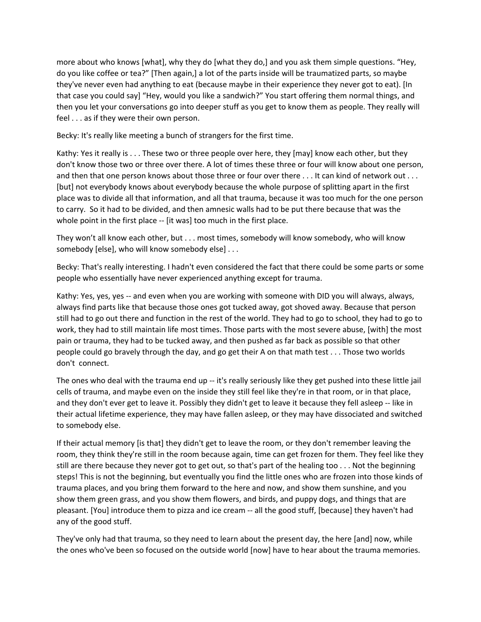more about who knows [what], why they do [what they do,] and you ask them simple questions. "Hey, do you like coffee or tea?" [Then again,] a lot of the parts inside will be traumatized parts, so maybe they've never even had anything to eat (because maybe in their experience they never got to eat). [In that case you could say] "Hey, would you like a sandwich?" You start offering them normal things, and then you let your conversations go into deeper stuff as you get to know them as people. They really will feel . . . as if they were their own person.

Becky: It's really like meeting a bunch of strangers for the first time.

Kathy: Yes it really is . . . These two or three people over here, they [may] know each other, but they don't know those two or three over there. A lot of times these three or four will know about one person, and then that one person knows about those three or four over there . . . It can kind of network out . . . [but] not everybody knows about everybody because the whole purpose of splitting apart in the first place was to divide all that information, and all that trauma, because it was too much for the one person to carry. So it had to be divided, and then amnesic walls had to be put there because that was the whole point in the first place -- [it was] too much in the first place.

They won't all know each other, but . . . most times, somebody will know somebody, who will know somebody [else], who will know somebody else] . . .

Becky: That's really interesting. I hadn't even considered the fact that there could be some parts or some people who essentially have never experienced anything except for trauma.

Kathy: Yes, yes, yes -- and even when you are working with someone with DID you will always, always, always find parts like that because those ones got tucked away, got shoved away. Because that person still had to go out there and function in the rest of the world. They had to go to school, they had to go to work, they had to still maintain life most times. Those parts with the most severe abuse, [with] the most pain or trauma, they had to be tucked away, and then pushed as far back as possible so that other people could go bravely through the day, and go get their A on that math test . . . Those two worlds don't connect.

The ones who deal with the trauma end up -- it's really seriously like they get pushed into these little jail cells of trauma, and maybe even on the inside they still feel like they're in that room, or in that place, and they don't ever get to leave it. Possibly they didn't get to leave it because they fell asleep -- like in their actual lifetime experience, they may have fallen asleep, or they may have dissociated and switched to somebody else.

If their actual memory [is that] they didn't get to leave the room, or they don't remember leaving the room, they think they're still in the room because again, time can get frozen for them. They feel like they still are there because they never got to get out, so that's part of the healing too . . . Not the beginning steps! This is not the beginning, but eventually you find the little ones who are frozen into those kinds of trauma places, and you bring them forward to the here and now, and show them sunshine, and you show them green grass, and you show them flowers, and birds, and puppy dogs, and things that are pleasant. [You] introduce them to pizza and ice cream -- all the good stuff, [because] they haven't had any of the good stuff.

They've only had that trauma, so they need to learn about the present day, the here [and] now, while the ones who've been so focused on the outside world [now] have to hear about the trauma memories.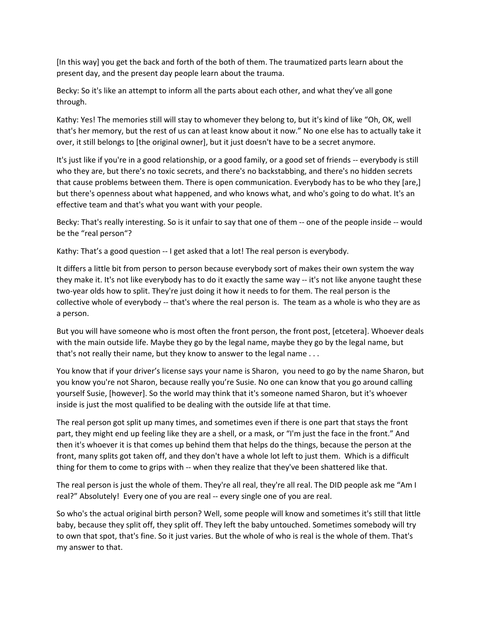[In this way] you get the back and forth of the both of them. The traumatized parts learn about the present day, and the present day people learn about the trauma.

Becky: So it's like an attempt to inform all the parts about each other, and what they've all gone through.

Kathy: Yes! The memories still will stay to whomever they belong to, but it's kind of like "Oh, OK, well that's her memory, but the rest of us can at least know about it now." No one else has to actually take it over, it still belongs to [the original owner], but it just doesn't have to be a secret anymore.

It's just like if you're in a good relationship, or a good family, or a good set of friends -- everybody is still who they are, but there's no toxic secrets, and there's no backstabbing, and there's no hidden secrets that cause problems between them. There is open communication. Everybody has to be who they [are,] but there's openness about what happened, and who knows what, and who's going to do what. It's an effective team and that's what you want with your people.

Becky: That's really interesting. So is it unfair to say that one of them -- one of the people inside -- would be the "real person"?

Kathy: That's a good question -- I get asked that a lot! The real person is everybody.

It differs a little bit from person to person because everybody sort of makes their own system the way they make it. It's not like everybody has to do it exactly the same way -- it's not like anyone taught these two-year olds how to split. They're just doing it how it needs to for them. The real person is the collective whole of everybody -- that's where the real person is. The team as a whole is who they are as a person.

But you will have someone who is most often the front person, the front post, [etcetera]. Whoever deals with the main outside life. Maybe they go by the legal name, maybe they go by the legal name, but that's not really their name, but they know to answer to the legal name . . .

You know that if your driver's license says your name is Sharon, you need to go by the name Sharon, but you know you're not Sharon, because really you're Susie. No one can know that you go around calling yourself Susie, [however]. So the world may think that it's someone named Sharon, but it's whoever inside is just the most qualified to be dealing with the outside life at that time.

The real person got split up many times, and sometimes even if there is one part that stays the front part, they might end up feeling like they are a shell, or a mask, or "I'm just the face in the front." And then it's whoever it is that comes up behind them that helps do the things, because the person at the front, many splits got taken off, and they don't have a whole lot left to just them. Which is a difficult thing for them to come to grips with -- when they realize that they've been shattered like that.

The real person is just the whole of them. They're all real, they're all real. The DID people ask me "Am I real?" Absolutely! Every one of you are real -- every single one of you are real.

So who's the actual original birth person? Well, some people will know and sometimes it's still that little baby, because they split off, they split off. They left the baby untouched. Sometimes somebody will try to own that spot, that's fine. So it just varies. But the whole of who is real is the whole of them. That's my answer to that.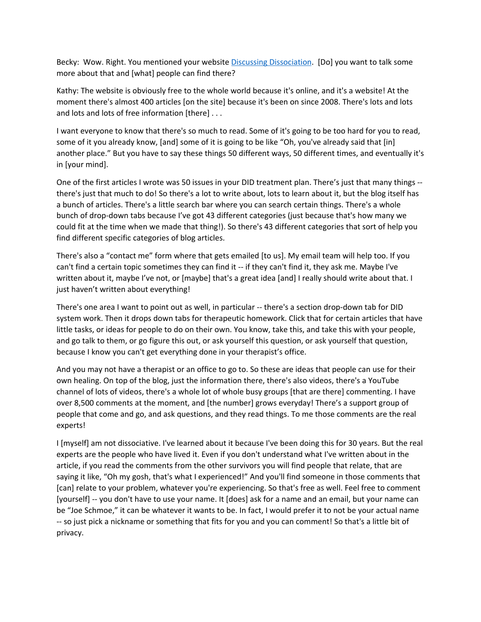Becky: Wow. Right. You mentioned your website Discussing [Dissociation.](http://www.discussingdissociation.com/) [Do] you want to talk some more about that and [what] people can find there?

Kathy: The website is obviously free to the whole world because it's online, and it's a website! At the moment there's almost 400 articles [on the site] because it's been on since 2008. There's lots and lots and lots and lots of free information [there] . . .

I want everyone to know that there's so much to read. Some of it's going to be too hard for you to read, some of it you already know, [and] some of it is going to be like "Oh, you've already said that [in] another place." But you have to say these things 50 different ways, 50 different times, and eventually it's in [your mind].

One of the first articles I wrote was 50 issues in your DID treatment plan. There's just that many things - there's just that much to do! So there's a lot to write about, lots to learn about it, but the blog itself has a bunch of articles. There's a little search bar where you can search certain things. There's a whole bunch of drop-down tabs because I've got 43 different categories (just because that's how many we could fit at the time when we made that thing!). So there's 43 different categories that sort of help you find different specific categories of blog articles.

There's also a "contact me" form where that gets emailed [to us]. My email team will help too. If you can't find a certain topic sometimes they can find it -- if they can't find it, they ask me. Maybe I've written about it, maybe I've not, or [maybe] that's a great idea [and] I really should write about that. I just haven't written about everything!

There's one area I want to point out as well, in particular -- there's a section drop-down tab for DID system work. Then it drops down tabs for therapeutic homework. Click that for certain articles that have little tasks, or ideas for people to do on their own. You know, take this, and take this with your people, and go talk to them, or go figure this out, or ask yourself this question, or ask yourself that question, because I know you can't get everything done in your therapist's office.

And you may not have a therapist or an office to go to. So these are ideas that people can use for their own healing. On top of the blog, just the information there, there's also videos, there's a YouTube channel of lots of videos, there's a whole lot of whole busy groups [that are there] commenting. I have over 8,500 comments at the moment, and [the number] grows everyday! There's a support group of people that come and go, and ask questions, and they read things. To me those comments are the real experts!

I [myself] am not dissociative. I've learned about it because I've been doing this for 30 years. But the real experts are the people who have lived it. Even if you don't understand what I've written about in the article, if you read the comments from the other survivors you will find people that relate, that are saying it like, "Oh my gosh, that's what I experienced!" And you'll find someone in those comments that [can] relate to your problem, whatever you're experiencing. So that's free as well. Feel free to comment [yourself] -- you don't have to use your name. It [does] ask for a name and an email, but your name can be "Joe Schmoe," it can be whatever it wants to be. In fact, I would prefer it to not be your actual name -- so just pick a nickname or something that fits for you and you can comment! So that's a little bit of privacy.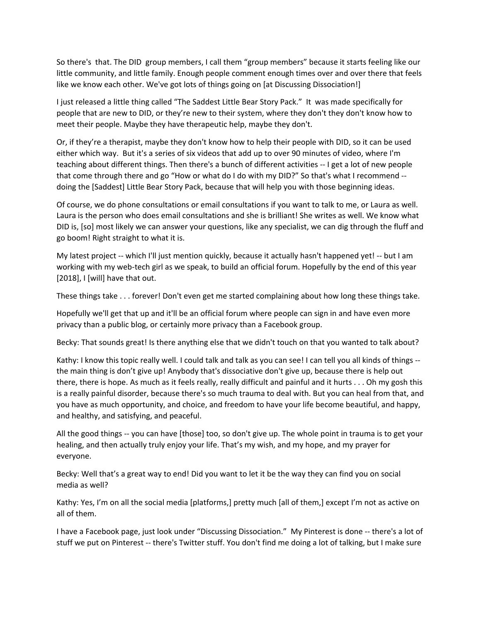So there's that. The DID group members, I call them "group members" because it starts feeling like our little community, and little family. Enough people comment enough times over and over there that feels like we know each other. We've got lots of things going on [at Discussing Dissociation!]

I just released a little thing called "The Saddest Little Bear Story Pack." It was made specifically for people that are new to DID, or they're new to their system, where they don't they don't know how to meet their people. Maybe they have therapeutic help, maybe they don't.

Or, if they're a therapist, maybe they don't know how to help their people with DID, so it can be used either which way. But it's a series of six videos that add up to over 90 minutes of video, where I'm teaching about different things. Then there's a bunch of different activities -- I get a lot of new people that come through there and go "How or what do I do with my DID?" So that's what I recommend - doing the [Saddest] Little Bear Story Pack, because that will help you with those beginning ideas.

Of course, we do phone consultations or email consultations if you want to talk to me, or Laura as well. Laura is the person who does email consultations and she is brilliant! She writes as well. We know what DID is, [so] most likely we can answer your questions, like any specialist, we can dig through the fluff and go boom! Right straight to what it is.

My latest project -- which I'll just mention quickly, because it actually hasn't happened yet! -- but I am working with my web-tech girl as we speak, to build an official forum. Hopefully by the end of this year [2018], I [will] have that out.

These things take . . . forever! Don't even get me started complaining about how long these things take.

Hopefully we'll get that up and it'll be an official forum where people can sign in and have even more privacy than a public blog, or certainly more privacy than a Facebook group.

Becky: That sounds great! Is there anything else that we didn't touch on that you wanted to talk about?

Kathy: I know this topic really well. I could talk and talk as you can see! I can tell you all kinds of things -the main thing is don't give up! Anybody that's dissociative don't give up, because there is help out there, there is hope. As much as it feels really, really difficult and painful and it hurts . . . Oh my gosh this is a really painful disorder, because there's so much trauma to deal with. But you can heal from that, and you have as much opportunity, and choice, and freedom to have your life become beautiful, and happy, and healthy, and satisfying, and peaceful.

All the good things -- you can have [those] too, so don't give up. The whole point in trauma is to get your healing, and then actually truly enjoy your life. That's my wish, and my hope, and my prayer for everyone.

Becky: Well that's a great way to end! Did you want to let it be the way they can find you on social media as well?

Kathy: Yes, I'm on all the social media [platforms,] pretty much [all of them,] except I'm not as active on all of them.

I have a Facebook page, just look under "Discussing Dissociation." My Pinterest is done -- there's a lot of stuff we put on Pinterest -- there's Twitter stuff. You don't find me doing a lot of talking, but I make sure